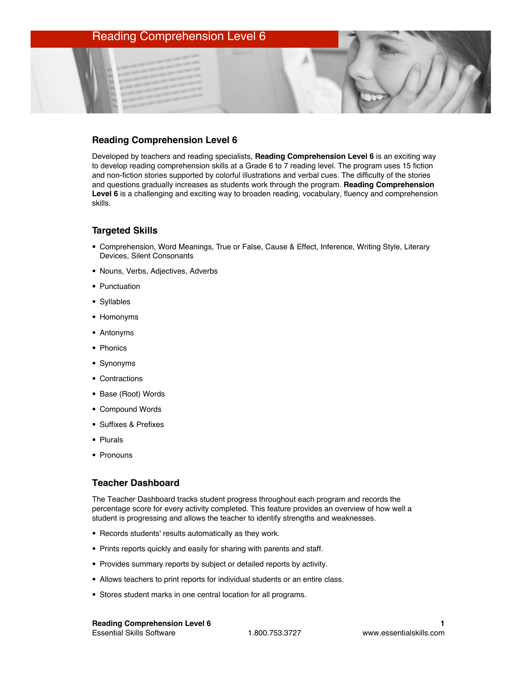## Reading Comprehension Level 6

### **Reading Comprehension Level 6**

Developed by teachers and reading specialists, **Reading Comprehension Level 6** is an exciting way to develop reading comprehension skills at a Grade 6 to 7 reading level. The program uses 15 fiction and non-fiction stories supported by colorful illustrations and verbal cues. The difficulty of the stories and questions gradually increases as students work through the program. **Reading Comprehension Level 6** is a challenging and exciting way to broaden reading, vocabulary, fluency and comprehension skills.

#### **Targeted Skills**

- Comprehension, Word Meanings, True or False, Cause & Effect, Inference, Writing Style, Literary Devices, Silent Consonants
- Nouns, Verbs, Adjectives, Adverbs
- Punctuation
- Syllables
- Homonyms
- Antonyms
- Phonics
- Synonyms
- Contractions
- Base (Root) Words
- Compound Words
- Suffixes & Prefixes
- Plurals
- Pronouns

#### **Teacher Dashboard**

The Teacher Dashboard tracks student progress throughout each program and records the percentage score for every activity completed. This feature provides an overview of how well a student is progressing and allows the teacher to identify strengths and weaknesses.

- Records students' results automatically as they work.
- Prints reports quickly and easily for sharing with parents and staff.
- Provides summary reports by subject or detailed reports by activity.
- Allows teachers to print reports for individual students or an entire class.
- Stores student marks in one central location for all programs.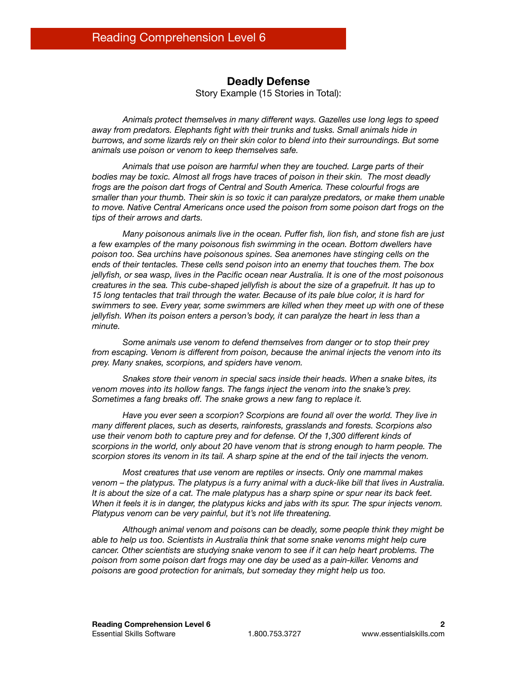## **Deadly Defense**

Story Example (15 Stories in Total):

*Animals protect themselves in many different ways. Gazelles use long legs to speed away from predators. Elephants fight with their trunks and tusks. Small animals hide in burrows, and some lizards rely on their skin color to blend into their surroundings. But some animals use poison or venom to keep themselves safe.*

*Animals that use poison are harmful when they are touched. Large parts of their bodies may be toxic. Almost all frogs have traces of poison in their skin. The most deadly frogs are the poison dart frogs of Central and South America. These colourful frogs are smaller than your thumb. Their skin is so toxic it can paralyze predators, or make them unable to move. Native Central Americans once used the poison from some poison dart frogs on the tips of their arrows and darts.*

*Many poisonous animals live in the ocean. Puffer fish, lion fish, and stone fish are just a few examples of the many poisonous fish swimming in the ocean. Bottom dwellers have poison too. Sea urchins have poisonous spines. Sea anemones have stinging cells on the ends of their tentacles. These cells send poison into an enemy that touches them. The box jellyfish, or sea wasp, lives in the Pacific ocean near Australia. It is one of the most poisonous creatures in the sea. This cube-shaped jellyfish is about the size of a grapefruit. It has up to 15 long tentacles that trail through the water. Because of its pale blue color, it is hard for swimmers to see. Every year, some swimmers are killed when they meet up with one of these jellyfish. When its poison enters a person's body, it can paralyze the heart in less than a minute.* 

*Some animals use venom to defend themselves from danger or to stop their prey from escaping. Venom is different from poison, because the animal injects the venom into its prey. Many snakes, scorpions, and spiders have venom.*

*Snakes store their venom in special sacs inside their heads. When a snake bites, its venom moves into its hollow fangs. The fangs inject the venom into the snake's prey. Sometimes a fang breaks off. The snake grows a new fang to replace it.*

*Have you ever seen a scorpion? Scorpions are found all over the world. They live in many different places, such as deserts, rainforests, grasslands and forests. Scorpions also use their venom both to capture prey and for defense. Of the 1,300 different kinds of scorpions in the world, only about 20 have venom that is strong enough to harm people. The scorpion stores its venom in its tail. A sharp spine at the end of the tail injects the venom.*

*Most creatures that use venom are reptiles or insects. Only one mammal makes venom – the platypus. The platypus is a furry animal with a duck-like bill that lives in Australia. It is about the size of a cat. The male platypus has a sharp spine or spur near its back feet. When it feels it is in danger, the platypus kicks and jabs with its spur. The spur injects venom. Platypus venom can be very painful, but it's not life threatening.*

*Although animal venom and poisons can be deadly, some people think they might be able to help us too. Scientists in Australia think that some snake venoms might help cure cancer. Other scientists are studying snake venom to see if it can help heart problems. The poison from some poison dart frogs may one day be used as a pain-killer. Venoms and poisons are good protection for animals, but someday they might help us too.*